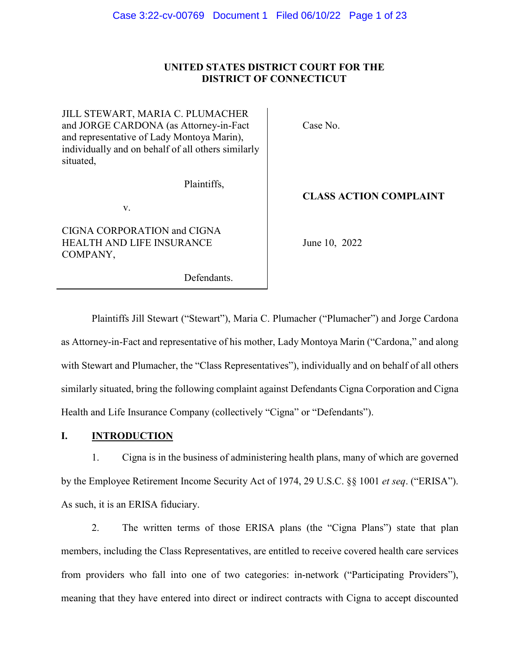#### UNITED STATES DISTRICT COURT FOR THE **UNITED STATES DISTRICT COURT FOR THE DISTRICT OF CONNECTICUT** DISTRICT OF CONNECTICUT

JILL STEWART, MARIA C. PLUMACHER and JORGE CARDONA (as Attorney-in-Fact and representative of Lady Montoya Marin), individually and on behalf of all others similarly situated, situated, JILL STEWART, MARIA C. PLUMACHER and JORGE CARDONA (as Attorney-in-Fact and representative of Lady Montoya Marin), individually and on behalf of all others similarly

Plaintiffs,

v.

Plaintiffs, v.<br>
V.<br>
CIGNA CORPORATION and CIGNA HEALTH AND LIFE INSURANCE<br>COMPANY,<br>Defendants. COMPANY,

Defendants.

Case No. Case No.

### CLASS ACTION COMPLAINT **CLASS ACTION COMPLAINT**

June 10, 2022

TH AND LIFE INSURANCE<br>ANY,<br>Defendants.<br>Plaintiffs Jill Stewart ("Stewart"), Maria C. Plumacher ("Plumacher") and Jorge Cardona as Attorney-in-Fact and representative of his mother, Lady Montoya Marin ("Cardona," and along with Stewart and Plumacher, the "Class Representatives"), individually and on behalf of all others similarly situated, bring the following complaint against Defendants Cigna Corporation and Cigna Health and Life Insurance Company (collectively "Cigna" or "Defendants"). as Attorney-in-Fact and representative of his mother, Lady Montoya Marin ("Cardona," and along<br>with Stewart and Plumacher, the "Class Representatives"), individually and on behalf of all others<br>similarly situated, bring th Case 3:22-cv-00769 Document 1 Filed 06/10/22 Page 1 of 23<br>
UNITED STATES DISTRICT COUNT FOR THE<br>
UNITED STATES DISTRICT COUNT FOR THE<br>
UNITED STATES DISTRICT COUNT FOR THE<br>
UNITED STATES DISTRICT COUNT FOR THE<br>
UNITED STA

### I. INTRODUCTION **I. INTRODUCTION**

1. Cigna is in the business of administering health plans, many of which are governed 1. Cigna is in the business of administering health plans, many of which are governed by the Employee Retirement Income Security Act of 1974, 29 U.S.C. §§ 1001 *et seq*. ("ERISA").<br>As such, it is an ERISA fiduciary. As such, it is an ERISA fiduciary.

2. The written terms of those ERISA plans (the "Cigna Plans") state that plan members, including the Class Representatives, are entitled to receive covered health care services from providers who fall into one of two categories: in-network ("Participating Providers"), meaning that they have entered into direct or indirect contracts with Cigna to accept discounted 2. The written terms of those ERISA plans (the "Cigna Plans") state that plan<br>members, including the Class Representatives, are entitled to receive covered health care services<br>from providers who fall into one of two categ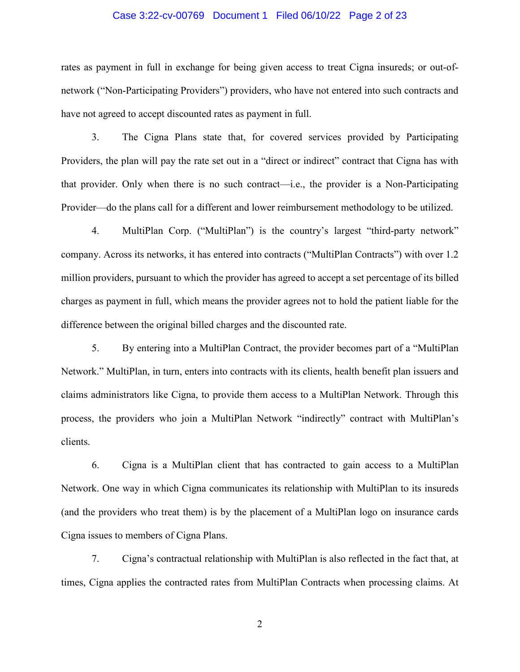rates as payment in full in exchange for being given access to treat Cigna insureds; or out-of-rates as payment in full in exchange for being given access to treat Cigna insureds; or out-ofnetwork ("Non-Participating Providers") providers, who have not entered into such contracts and have not agreed to accept discounted rates as payment in full. network ("Non-Participating Providers") providers, who have not entered into such contracts and<br>have not agreed to accept discounted rates as payment in full.<br>3. The Cigna Plans state that, for covered services provided by

3. The Cigna Plans state that, for covered services provided by Participating that provider. Only when there is no such contract—i.e., the provider is a Non-Participating Provider—do the plans call for a different and lower reimbursement methodology to be utilized. that provider. Only when there is no such contract—i.e., the provider is a Non-Participating<br>Provider—do the plans call for a different and lower reimbursement methodology to be utilized.<br>4. MultiPlan Corp. ("MultiPlan") i

4. MultiPlan Corp. ("MultiPlan") is the country's largest "third-party network" company. Across its networks, it has entered into contracts ("MultiPlan Contracts") with over 1.2<br>million providers, pursuant to which the provider has agreed to accept a set percentage of its billed million providers, pursuant to which the provider has agreed to accept a set percentage of its billed charges as payment in full, which means the provider agrees not to hold the patient liable for the difference between the original billed charges and the discounted rate.

5. By entering into a MultiPlan Contract, the provider becomes part of a "MultiPlan Network." MultiPlan, in turn, enters into contracts with its clients, health benefit plan issuers and claims administrators like Cigna, to provide them access to a MultiPlan Network. Through this process, the providers who join a MultiPlan Network "indirectly" contract with MultiPlan's clients. charges as payment in full, which means the provider agrees not to hold the patient liable for the<br>difference between the original billed charges and the discounted rate.<br>5. By entering into a MultiPlan Contract, the provi Case 3:22-cv-00769 Document 1 Filed 06/10/22 Page 2 of 23<br>
rates as payment in full in exchange for being given access to treat Cigna insureds; or out-of-<br>
network ("Non-Participating Providers") providers, who have not e

6. Cigna is a MultiPlan client that has contracted to gain access to a MultiPlan Network. One way in which Cigna communicates its relationship with MultiPlan to its insureds (and the providers who treat them) is by the placement of a MultiPlan logo on insurance cards Cigna issues to members of Cigna Plans. process, the providers who join a MultiPlan Network "indirectly" contract with MultiPlan's<br>clients.<br>6. Cigna is a MultiPlan client that has contracted to gain access to a MultiPlan<br>Network. One way in which Cigna communica

7. Cigna's contractual relationship with MultiPlan is also reflected in the fact that, at times, Cigna applies the contracted rates from MultiPlan Contracts when processing claims. At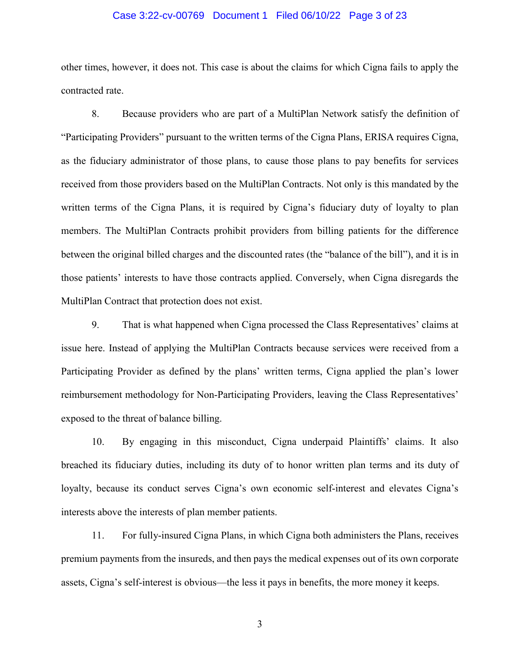#### Case 3:22-cv-00769 Document 1 Filed 06/10/22 Page 3 of 23

other times, however, it does not. This case is about the claims for which Cigna fails to apply the<br>contracted rate.<br>8. Because providers who are part of a MultiPlan Network satisfy the definition of contracted rate.

8. Because providers who are part of a MultiPlan Network satisfy the definition of "Participating Providers" pursuant to the written terms of the Cigna Plans, ERISA requires Cigna, "Participating Providers" pursuant to the written terms of the Cigna Plans, ERISA requires Cigna,<br>as the fiduciary administrator of those plans, to cause those plans to pay benefits for services received from those providers based on the MultiPlan Contracts. Not only is this mandated by the written terms of the Cigna Plans, it is required by Cigna's fiduciary duty of loyalty to plan members. The MultiPlan Contracts prohibit providers from billing patients for the difference between the original billed charges and the discounted rates (the "balance of the bill"), and it is in those patients' interests to have those contracts applied. Conversely, when Cigna disregards the MultiPlan Contract that protection does not exist. received from those providers based on the MultiPlan Contracts. Not only is this mandated by the<br>written terms of the Cigna Plans, it is required by Cigna's fiduciary duty of loyalty to plan<br>members. The MultiPlan Contract

9. That is what happened when Cigna processed the Class Representatives' claims at issue here. Instead of applying the MultiPlan Contracts because services were received from a Participating Provider as defined by the plans' written terms, Cigna applied the plan's lower reimbursement methodology for Non-Participating Providers, leaving the Class Representatives' exposed to the threat of balance billing. exposed to the threat of balance billing. MultiPlan Contract that protection does not exist.<br>9. That is what happened when Cigna processed the Class Representatives' claims at<br>issue here. Instead of applying the MultiPlan Contracts because services were received f

10. By engaging in this misconduct, Cigna underpaid Plaintiffs' claims. It also breached its fiduciary duties, including its duty of to honor written plan terms and its duty of loyalty, because its conduct serves Cigna's own economic self-interest and elevates Cigna's interests above the interests of plan member patients. 10. By engaging in this misconduct, Cigna underpaid Plaintiffs' claims. It also<br>breached its fiduciary duties, including its duty of to honor written plan terms and its duty of<br>loyalty, because its conduct serves Cigna's o

11. For fully-insured Cigna Plans, in which Cigna both administers the Plans, receives premium payments from the insureds, and then pays the medical expenses out of its own corporate assets, Cigna's self-interest is obvious—the less it pays in benefits, the more money it keeps. 11. For fully-insured Cigna Plans, in which Cigna both administers the Plans, receives<br>premium payments from the insureds, and then pays the medical expenses out of its own corporate<br>assets, Cigna's self-interest is obviou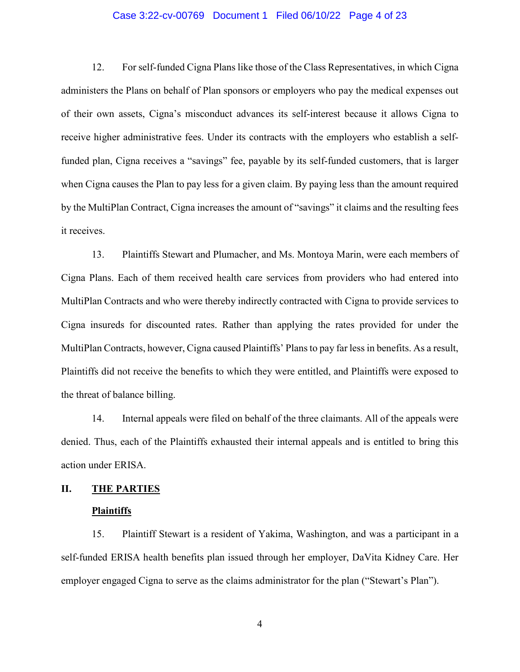#### Case 3:22-cv-00769 Document 1 Filed 06/10/22 Page 4 of 23

12. For self-funded Cigna Plans like those of the Class Representatives, in which Cigna administers the Plans on behalf of Plan sponsors or employers who pay the medical expenses out of their own assets, Cigna's misconduct advances its self-interest because it allows Cigna to receive higher administrative fees. Under its contracts with the employers who establish a selffunded plan, Cigna receives a "savings" fee, payable by its self-funded customers, that is larger funded plan, Cigna receives a "savings" fee, payable by its self-funded customers, that is larger when Cigna causes the Plan to pay less for a given claim. By paying less than the amount required by the MultiPlan Contract, Cigna increases the amount of "savings" it claims and the resulting fees it receives. 12. For self-funded Cigna Plans like those of the Class Representatives, in which Cigna<br>administers the Plans on behalf of Plan sponsors or employers who pay the medical expenses out<br>of their own assets, Cigna's misconduct when Cigna causes the Plan to pay less for a given claim. By paying less than the amount required<br>by the MultiPlan Contract, Cigna increases the amount of "savings" it claims and the resulting fees<br>it receives.<br>13. Plainti

13. Plaintiffs Stewart and Plumacher, and Ms. Montoya Marin, were each members of Cigna Plans. Each of them received health care services from providers who had entered into MultiPlan Contracts and who were thereby indirectly contracted with Cigna to provide services to Cigna insureds for discounted rates. Rather than applying the rates provided for under the MultiPlan Contracts, however, Cigna caused Plaintiffs' Plans to pay far less in benefits. As a result, Plaintiffs did not receive the benefits to which they were entitled, and Plaintiffs were exposed to the threat of balance billing. MultiPlan Contracts and who were thereby indirectly contracted with Cigna to provide services to<br>Cigna insureds for discounted rates. Rather than applying the rates provided for under the<br>MultiPlan Contracts, however, Cign

14. Internal appeals were filed on behalf of the three claimants. All of the appeals were denied. Thus, each of the Plaintiffs exhausted their internal appeals and is entitled to bring this action under ERISA.

### II. THE PARTIES **II. THE PARTIES**

### Plaintiffs **Plaintiffs**

15. Plaintiff Stewart is a resident of Yakima, Washington, and was a participant in a self-funded ERISA health benefits plan issued through her employer, DaVita Kidney Care. Her employer engaged Cigna to serve as the claims administrator for the plan ("Stewart's Plan"). 15. Plaintiff Stewart is a resident of Yakima, Washington, and was a participant in a<br>self-funded ERISA health benefits plan issued through her employer, DaVita Kidney Care. Her<br>employer engaged Cigna to serve as the claim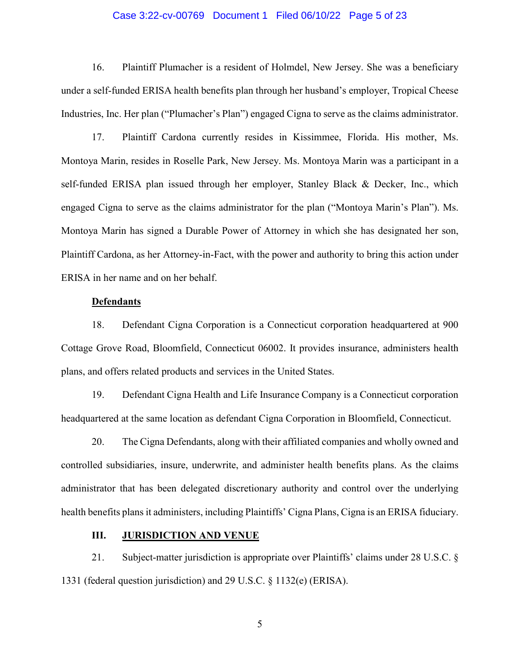16. Plaintiff Plumacher is a resident of Holmdel, New Jersey. She was a beneficiary under a self-funded ERISA health benefits plan through her husband's employer, Tropical Cheese Industries, Inc. Her plan ("Plumacher's Plan") engaged Cigna to serve as the claims administrator. 16. Plaintiff Plumacher is a resident of Holmdel, New Jersey. She was a beneficiary<br>under a self-funded ERISA health benefits plan through her husband's employer, Tropical Cheese<br>Industries, Inc. Her plan ("Plumacher's Pla

17. Plaintiff Cardona currently resides in Kissimmee, Florida. His mother, Ms. Montoya Marin, resides in Roselle Park, New Jersey. Ms. Montoya Marin was a participant in a self-funded ERISA plan issued through her employer, Stanley Black & Decker, Inc., which engaged Cigna to serve as the claims administrator for the plan ("Montoya Marin's Plan"). Ms. Montoya Marin has signed a Durable Power of Attorney in which she has designated her son, Plaintiff Cardona, as her Attorney-in-Fact, with the power and authority to bring this action under ERISA in her name and on her behalf. self-funded ERISA plan issued through her employer, Stanley Black & Decker, Inc., which<br>engaged Cigna to serve as the claims administrator for the plan ("Montoya Marin's Plan"). Ms.<br>Montoya Marin has signed a Durable Power Case 3:22-cv-00769 Document 1 Filed 06/10/22 Page 5 of 23<br>
16. Plaintiff Plumacher's it a resident of Holmdsl, New Jerseys. She was a benchiciary<br>
under a cif-finaded iRISA health benchts plan through her husband's employ

#### Defendants **Defendants**

18. Defendant Cigna Corporation is a Connecticut corporation headquartered at 900 Cottage Grove Road, Bloomfield, Connecticut 06002. It provides insurance, administers health plans, and offers related products and services in the United States.

19. Defendant Cigna Health and Life Insurance Company is a Connecticut corporation headquartered at the same location as defendant Cigna Corporation in Bloomfield, Connecticut.

20. The Cigna Defendants, along with their affiliated companies and wholly owned and controlled subsidiaries, insure, underwrite, and administer health benefits plans. As the claims administrator that has been delegated discretionary authority and control over the underlying health benefits plans it administers, including Plaintiffs' Cigna Plans, Cigna is an ERISA fiduciary. 18. Defendant Cigna Corporation is a Connecticut corporation headquartered at 900<br>Cottage Grove Road, Bloomfield, Connecticut 06002. It provides insurance, administers health<br>plans, and offers related products and services

### III. JURISDICTION AND VENUE **III. JURISDICTION AND VENUE**

21. Subject-matter jurisdiction is appropriate over Plaintiffs' claims under 28 U.S.C. § 1331 (federal question jurisdiction) and 29 U.S.C. § 1132(e) (ERISA).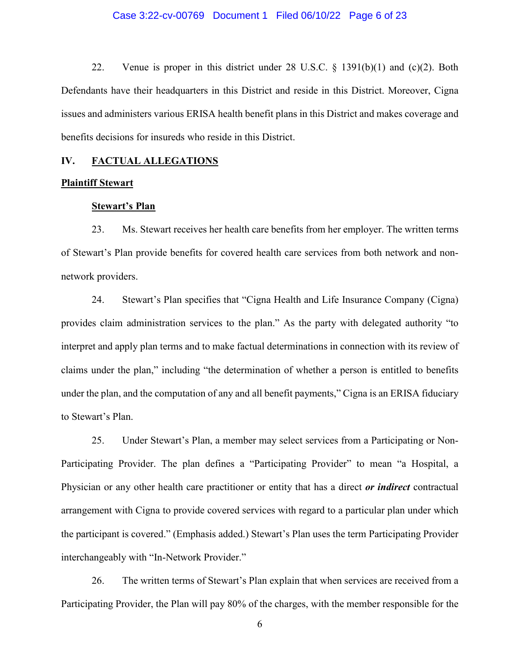22. Venue is proper in this district under 28 U.S.C. § 1391(b)(1) and (c)(2). Both Defendants have their headquarters in this District and reside in this District. Moreover, Cigna issues and administers various ERISA health benefit plans in this District and makes coverage and benefits decisions for insureds who reside in this District. 22. Venue is proper in this district under 28 U.S.C. § 1391(b)(1) and (c)(2). Both<br>Defendants have their headquarters in this District and reside in this District. Moreover, Cigna<br>issues and administers various ERISA heal

## IV. FACTUAL ALLEGATIONS<br>Plaintiff Stewart

#### **Plaintiff Stewart**

#### Stewart's Plan **Stewart's Plan**

23. Ms. Stewart receives her health care benefits from her employer. The written terms 23. Ms. Stewart receives her health care benefits from her employer. The written terms<br>of Stewart's Plan provide benefits for covered health care services from both network and nonnetwork providers. network providers.

24. Stewart's Plan specifies that "Cigna Health and Life Insurance Company (Cigna) provides claim administration services to the plan." As the party with delegated authority "to interpret and apply plan terms and to make factual determinations in connection with its review of claims under the plan," including "the determination of whether a person is entitled to benefits under the plan, and the computation of any and all benefit payments," Cigna is an ERISA fiduciary to Stewart's Plan. 24. Stewart's Plan specifies that "Cigna Health and Life Insurance Company (Cigna)<br>provides claim administration services to the plan." As the party with delegated authority "to<br>interpret and apply plan terms and to make f claims under the plan," including "the determination of whether a person is entitled to benefits<br>under the plan, and the computation of any and all benefit payments," Cigna is an ERISA fiduciary<br>to Stewart's Plan.<br>25. Unde Case 3:22-cv-00769 Document 1 Filed 06/10/22 Page 6 of 23<br>
22. Venue is proper in this district under 28 U.S.C. § 1391(b)(1) and (e)(2). Both<br>Defendunts have their headquarters in this District and reside in this District

25. Under Stewart's Plan, a member may select services from a Participating or Non-Participating Provider. The plan defines a "Participating Provider" to mean "a Hospital, a Participating Provider. The plan defines a "Participating Provider" to mean "a Hospital, a Physician or any other health care practitioner or entity that has a direct *or indirect* contractual arrangement with Cigna to provide covered services with regard to a particular plan under which the participant is covered." (Emphasis added.) Stewart's Plan uses the term Participating Provider interchangeably with "In-Network Provider." Physician or any other health care practitioner or entity that has a direct *or indirect* contractual<br>arrangement with Cigna to provide covered services with regard to a particular plan under which<br>the participant is cover

26. The written terms of Stewart's Plan explain that when services are received from a Participating Provider, the Plan will pay 80% of the charges, with the member responsible for the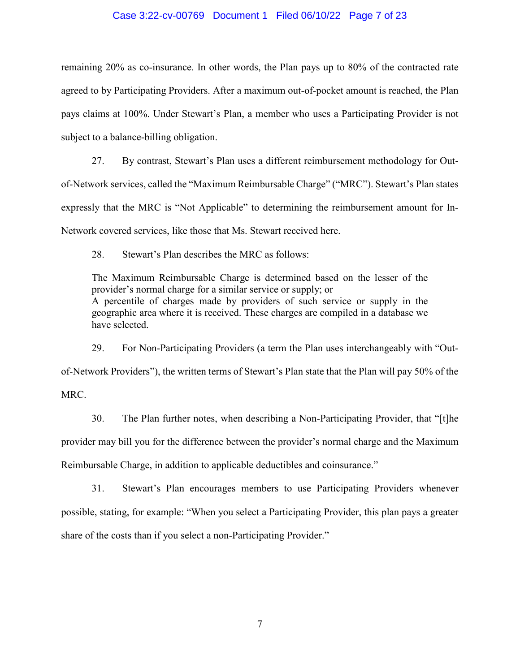remaining 20% as co-insurance. In other words, the Plan pays up to 80% of the contracted rate agreed to by Participating Providers. After a maximum out-of-pocket amount is reached, the Plan pays claims at 100%. Under Stewart's Plan, a member who uses a Participating Provider is not subject to a balance-billing obligation. remaining 20% as co-insurance. In other words, the Plan pays up to 80% of the contracted rate<br>agreed to by Participating Providers. After a maximum out-of-pocket amount is reached, the Plan<br>pays claims at 100%. Under Stewa Case 3:22-cv-00769 Document 1 Filed 06/10/22 Page 7 of 23<br>
remaining 20% as co-insurance. In other words, the Plan pays up to 80% of the co<br>
agreed to by Participating Providers. After a maximum out-of-pocket amount is rea

27. By contrast, Stewart's Plan uses a different reimbursement methodology for Outof-Network services, called the "Maximum Reimbursable Charge" ("MRC"). Stewart's Plan states of-Network services, called the "Maximum Reimbursable Charge" ("MRC"). Stewart's Plan states<br>expressly that the MRC is "Not Applicable" to determining the reimbursement amount for In-Network covered services, like those that Ms. Stewart received here.

28. Stewart's Plan describes the MRC as follows:

Network covered services, like those that Ms. Stewart received here.<br>
28. Stewart's Plan describes the MRC as follows:<br>
The Maximum Reimbursable Charge is determined based on the lesser of the provider's normal charge for a similar service or supply; or A percentile of charges made by providers of such service or supply in the geographic area where it is received. These charges are compiled in a database we have selected. provider's normal charge for a similar service or supply; or<br>A percentile of charges made by providers of such service or supply in the<br>geographic area where it is received. These charges are compiled in a database we<br>have

29. For Non-Participating Providers (a term the Plan uses interchangeably with "Outof-Network Providers"), the written terms of Stewart's Plan state that the Plan will pay 50% of the<br>MRC. MRC.

30. The Plan further notes, when describing a Non-Participating Provider, that "[t]he 30. The Plan further notes, when describing a Non-Participating Provider, that "[t]he<br>provider may bill you for the difference between the provider's normal charge and the Maximum Reimbursable Charge, in addition to applicable deductibles and coinsurance." Reimbursable Charge, in addition to applicable deductibles and coinsurance."

31. Stewart's Plan encourages members to use Participating Providers whenever 31. Stewart's Plan encourages members to use Participating Providers whenever<br>possible, stating, for example: "When you select a Participating Provider, this plan pays a greater share of the costs than if you select a non-Participating Provider."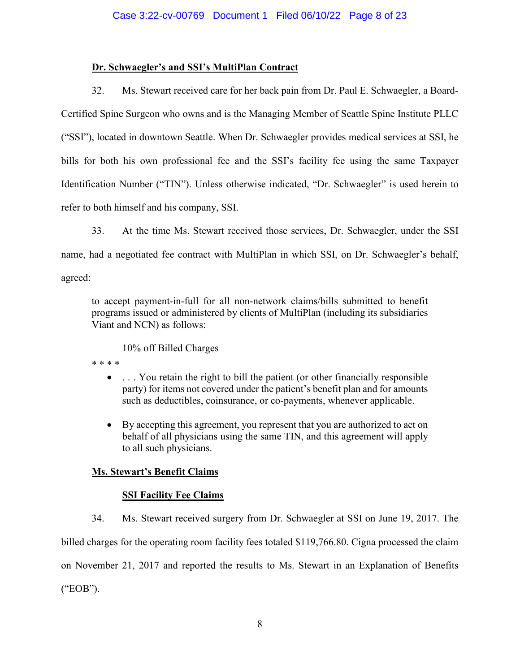### Dr. Schwaegler's and SSI's MultiPlan Contract **Dr. Schwaegler's and SSI's MultiPlan Contract**

32. Ms. Stewart received care for her back pain from Dr. Paul E. Schwaegler, a Board-32. Ms. Stewart received care for her back pain from Dr. Paul E. Schwaegler, a Board-Certified Spine Surgeon who owns and is the Managing Member of Seattle Spine Institute PLLC ("SSI"), located in downtown Seattle. When Dr. Schwaegler provides medical services at SSI, he bills for both his own professional fee and the SSI's facility fee using the same Taxpayer Identification Number ("TIN"). Unless otherwise indicated, "Dr. Schwaegler" is used herein to refer to both himself and his company, SSI. Certified Spine Surgeon who owns and is the Managing Member of Seattle Spine Institute PLLC<br>("SSI"), located in downtown Seattle. When Dr. Schwaegler provides medical services at SSI, he<br>bills for both his own professional Case 3:22-cv-00769 Document 1 Filed 06/10/22 Page 8 of 23<br>
Dr. Schwaegler's and SSI's MultiPlan Contract<br>
32. Ms. Stewart received eare for her hack pain from Dr. Paul F. Schwaeg<br>
Certified Spins Surgeon who covas and is

33. At the time Ms. Stewart received those services, Dr. Schwaegler, under the SSI name, had a negotiated fee contract with MultiPlan in which SSI, on Dr. Schwaegler's behalf, agreed: Identification Number ("TIN"). Unless otherwise indicated, "Dr. Schwaegler" is used herein to<br>refer to both himself and his company, SSI.<br>33. At the time Ms. Stewart received those services, Dr. Schwaegler, under the SSI<br>n

to accept payment-in-full for all non-network claims/bills submitted to benefit programs issued or administered by clients of MultiPlan (including its subsidiaries Viant and NCN) as follows: to accept payment-in-full for all non-network claims/bills submitted to benefit programs issued or administered by clients of MultiPlan (including its subsidiaries Viant and NCN) as follows: 10% off Billed Charges

10% off Billed Charges

\* \* \* \* \* \* \* \*

- ... You retain the right to bill the patient (or other financially responsible party) for items not covered under the patient's benefit plan and for amounts such as deductibles, coinsurance, or co-payments, whenever appl party) for items not covered under the patient's benefit plan and for amounts such as deductibles, coinsurance, or co-payments, whenever applicable.
- By accepting this agreement, you represent that you are authorized to act on behalf of all physicians using the same TIN, and this agreement will apply behalf of all physicians using the same TIN, and this agreement will apply to all such physicians. to all such physicians.

### Ms. Stewart's Benefit Claims

#### **SSI Facility Fee Claims**

34. Ms. Stewart received surgery from Dr. Schwaegler at SSI on June 19, 2017. The billed charges for the operating room facility fees totaled \$119,766.80. Cigna processed the claim on November 21, 2017 and reported the results to Ms. Stewart in an Explanation of Benefits ("EOB"). **Ms. Stewart's Benefit Claims**<br> **SSI Facility Fee Claims**<br>
34. Ms. Stewart received surgery from Dr. Schwaegler at SSI on June 19, 2017. The<br>
billed charges for the operating room facility fees totaled \$119,766.80. Cigna p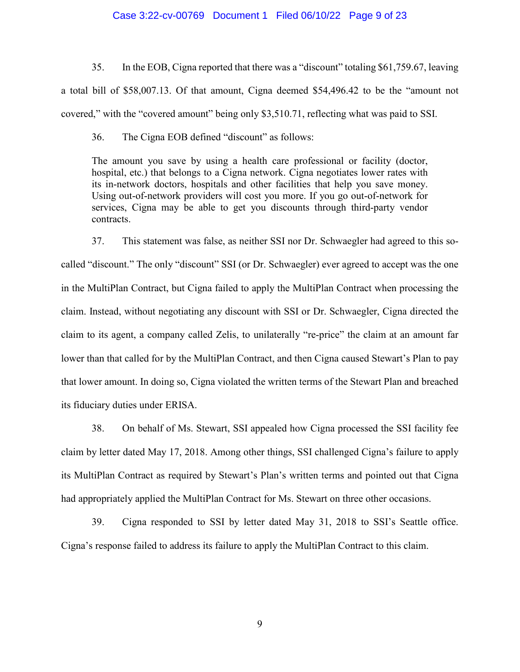35. In the EOB, Cigna reported that there was a "discount" totaling \$61,759.67, leaving a total bill of \$58,007.13. Of that amount, Cigna deemed \$54,496.42 to be the "amount not covered," with the "covered amount" being only \$3,510.71, reflecting what was paid to SSI. 35. In the EOB, Cigna reported that there was a "discount" totaling \$61,759.67, leaving<br>a total bill of \$58,007.13. Of that amount, Cigna deemed \$54,496.42 to be the "amount not<br>covered," with the "covered amount" being on

36. The Cigna EOB defined "discount" as follows:

The amount you save by using a health care professional or facility (doctor, hospital, etc.) that belongs to a Cigna network. Cigna negotiates lower rates with its in-network doctors, hospitals and other facilities that help you save money. Using out-of-network providers will cost you more. If you go out-of-network for services, Cigna may be able to get you discounts through third-party vendor contracts. hospital, etc.) that belongs to a Cigna network. Cigna negotiates lower rates with<br>its in-network doctors, hospitals and other facilities that help you save money.<br>Using out-of-network providers will cost you more. If you

37. This statement was false, as neither SSI nor Dr. Schwaegler had agreed to this so-37. This statement was false, as neither SSI nor Dr. Schwaegler had agreed to this socalled "discount." The only "discount" SSI (or Dr. Schwaegler) ever agreed to accept was the one called "discount." The only "discount" SSI (or Dr. Schwaegler) ever agreed to accept was the one<br>in the MultiPlan Contract, but Cigna failed to apply the MultiPlan Contract when processing the claim. Instead, without negotiating any discount with SSI or Dr. Schwaegler, Cigna directed the claim to its agent, a company called Zelis, to unilaterally "re-price" the claim at an amount far lower than that called for by the MultiPlan Contract, and then Cigna caused Stewart's Plan to pay that lower amount. In doing so, Cigna violated the written terms of the Stewart Plan and breached its fiduciary duties under ERISA. Case 3:22-cv-00769 Document 1 Filed 06110/22 Page 9 of 23<br>
35. In the EOB, Cigna reported that there was a "discount" tratting \$61,759.67, leaving<br>
a total bill of SS8,007.13. Of that amount, Gigna deemed \$54,496.42 to be

38. On behalf of Ms. Stewart, SSI appealed how Cigna processed the SSI facility fee claim by letter dated May 17, 2018. Among other things, SSI challenged Cigna's failure to apply its MultiPlan Contract as required by Stewart's Plan's written terms and pointed out that Cigna had appropriately applied the MultiPlan Contract for Ms. Stewart on three other occasions.

39. Cigna responded to SSI by letter dated May 31, 2018 to SSI's Seattle office. Cigna's response failed to address its failure to apply the MultiPlan Contract to this claim.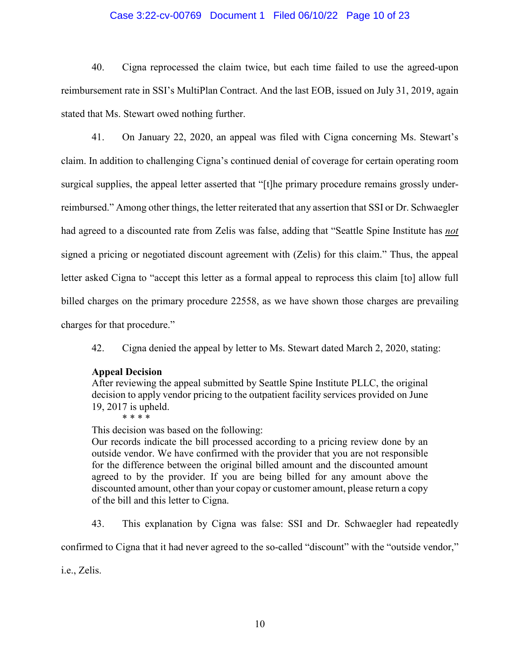40. Cigna reprocessed the claim twice, but each time failed to use the agreed-upon reimbursement rate in SSI's MultiPlan Contract. And the last EOB, issued on July 31, 2019, again stated that Ms. Stewart owed nothing further. 40. Cigna reprocessed the claim twice, but each time failed to use the agreed-upon<br>reimbursement rate in SSI's MultiPlan Contract. And the last EOB, issued on July 31, 2019, again<br>stated that Ms. Stewart owed nothing furth

41. On January 22, 2020, an appeal was filed with Cigna concerning Ms. Stewart's claim. In addition to challenging Cigna's continued denial of coverage for certain operating room surgical supplies, the appeal letter asserted that "[t]he primary procedure remains grossly under-surgical supplies, the appeal letter asserted that "[t]he primary procedure remains grossly underreimbursed." Among other things, the letter reiterated that any assertion that SSI or Dr. Schwaegler reimbursed." Among other things, the letter reiterated that any assertion that SSI or Dr. Schwaegler<br>had agreed to a discounted rate from Zelis was false, adding that "Seattle Spine Institute has *not* signed a pricing or negotiated discount agreement with (Zelis) for this claim." Thus, the appeal signed a pricing or negotiated discount agreement with (Zelis) for this claim." Thus, the appeal<br>letter asked Cigna to "accept this letter as a formal appeal to reprocess this claim [to] allow full billed charges on the primary procedure 22558, as we have shown those charges are prevailing billed charges on the primary procedure 22558, as we have shown those charges are prevailing charges for that procedure." charges for that procedure."<br>42. Cigna denied the appeal by letter to Ms. Stewart dated March 2, 2020, stating: Case 3:22-cv-00769 Document 1 Filed 06/10/22 Page 10 of 23<br>
40. Cigna reprocessed the claim twice, but each time failed to use the reinbursement rate in SSI's MultiPlan Contract. And the last EOB, issued on July 31,<br>
41. O

### Appeal Decision **Appeal Decision**

After reviewing the appeal submitted by Seattle Spine Institute PLLC, the original After reviewing the appeal submitted by Seattle Spine Institute PLLC, the original decision to apply vendor pricing to the outpatient facility services provided on June 19, 2017 is upheld.<br>\* \* \* \*

\* \* \* \*

This decision was based on the following:

Our records indicate the bill processed according to a pricing review done by an This decision was based on the following:<br>Our records indicate the bill processed according to a pricing review done by an<br>outside vendor. We have confirmed with the provider that you are not responsible for the difference between the original billed amount and the discounted amount agreed to by the provider. If you are being billed for any amount above the discounted amount, other than your copay or customer amount, please return a copy of the bill and this letter to Cigna. for the difference between the original billed amount and the discounted amount<br>agreed to by the provider. If you are being billed for any amount above the<br>discounted amount, other than your copay or customer amount, pleas

43. This explanation by Cigna was false: SSI and Dr. Schwaegler had repeatedly

i.e., Zelis.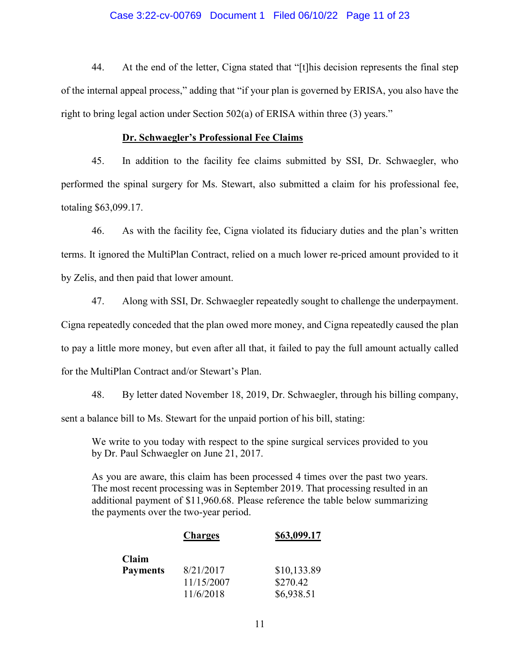44. At the end of the letter, Cigna stated that "[t]his decision represents the final step of the internal appeal process," adding that "if your plan is governed by ERISA, you also have the right to bring legal action under Section 502(a) of ERISA within three (3) years." 44. At the end of the letter, Cigna stated that "[t]his decision represents the final step<br>of the internal appeal process," adding that "if your plan is governed by ERISA, you also have the<br>right to bring legal action unde

#### Dr. Schwaegler's Professional Fee Claims **Dr. Schwaegler's Professional Fee Claims**

45. In addition to the facility fee claims submitted by SSI, Dr. Schwaegler, who 45. In addition to the facility fee claims submitted by SSI, Dr. Schwaegler, who performed the spinal surgery for Ms. Stewart, also submitted a claim for his professional fee, performed the spinal surgery for Ms. Stewart, also submitted a claim for his professional fee, totaling \$63,099.17. totaling \$63,099.17.

46. As with the facility fee, Cigna violated its fiduciary duties and the plan's written terms. It ignored the MultiPlan Contract, relied on a much lower re-priced amount provided to it by Zelis, and then paid that lower amount. 46. As with the facility fee, Cigna violated its fiduciary duties and the plan's written<br>terms. It ignored the MultiPlan Contract, relied on a much lower re-priced amount provided to it<br>by Zelis, and then paid that lower a

47. Along with SSI, Dr. Schwaegler repeatedly sought to challenge the underpayment. Cigna repeatedly conceded that the plan owed more money, and Cigna repeatedly caused the plan to pay a little more money, but even after all that, it failed to pay the full amount actually called for the MultiPlan Contract and/or Stewart's Plan. 47. Along with SSI, Dr. Schwaegler repeatedly sought to challenge the underpayment.<br>Cigna repeatedly conceded that the plan owed more money, and Cigna repeatedly caused the plan<br>to pay a little more money, but even after a Case 3:22-cv-00769 Document 1 Filed 06/10/22 Page 11 of 23<br>
At the end of the letter, Cigna stated that "[t]his decision represents that<br>
al appeal process," adding that "if your plan is governed by ERISA, you a<br>
glegal a

48. By letter dated November 18, 2019, Dr. Schwaegler, through his billing company, sent a balance bill to Ms. Stewart for the unpaid portion of his bill, stating:

We write to you today with respect to the spine surgical services provided to you by Dr. Paul Schwaegler on June 21, 2017.

As you are aware, this claim has been processed 4 times over the past two years. The most recent processing was in September 2019. That processing resulted in an additional payment of \$11,960.68. Please reference the table below summarizing the payments over the two-year period. the payments over the two-year period. As you are aware, this claim has been processed 4 times over the past two years.<br>The most recent processing was in September 2019. That processing resulted in an additional payment of \$11,960.68. Please reference the table

|                 | <b>Charges</b> | \$63,099.17 |
|-----------------|----------------|-------------|
| Claim           |                |             |
| <b>Payments</b> | 8/21/2017      | \$10,133.89 |
|                 | 11/15/2007     | \$270.42    |
|                 | 11/6/2018      | \$6,938.51  |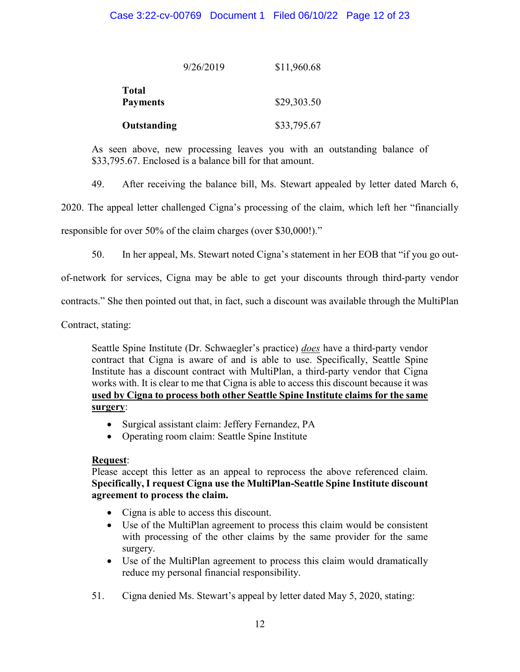|                 | 9/26/2019 | \$11,960.68 |
|-----------------|-----------|-------------|
| Total           |           | \$29,303.50 |
| <b>Payments</b> |           |             |
| Outstanding     |           | \$33,795.67 |

**Outstanding** \$33,795.67<br>As seen above, new processing leaves you with an outstanding balance of \$33,795.67. Enclosed is a balance bill for that amount. \$33,795.67. Enclosed is a balance bill for that amount.

49. After receiving the balance bill, Ms. Stewart appealed by letter dated March 6,

2020. The appeal letter challenged Cigna's processing of the claim, which left her "financially 49. After receiving the balance bill, Ms. Stewart appealed by letter dated March 6, 2020. The appeal letter challenged Cigna's processing of the claim, which left her "financially responsible for over 50% of the claim char

responsible for over 50% of the claim charges (over \$30,000!)."

50. In her appeal, Ms. Stewart noted Cigna's statement in her EOB that "if you go out-50. In her appeal, Ms. Stewart noted Cigna's statement in her EOB that "if you go out-

of-network for services, Cigna may be able to get your discounts through third-party vendor of-network for services, Cigna may be able to get your discounts through third-party vendor

Contract, stating:

contracts." She then pointed out that, in fact, such a discount was available through the MultiPlan<br>Contract, stating:<br>Seattle Spine Institute (Dr. Schwaegler's practice) <u>does</u> have a third-party vendor<br>contract that Cign Seattle Spine Institute (Dr. Schwaegler's practice) *does* have a third-party vendor contract that Cigna is aware of and is able to use. Specifically, Seattle Spine Institute has a discount contract with MultiPlan, a third-party vendor that Cigna works with. It is clear to me that Cigna is able to access this discount because it was used by Cigna to process both other Seattle Spine Institute claims for the same **used by Cigna to process both other Seattle Spine Institute claims for the same**  surgery: **surgery**:

- Surgical assistant claim: Jeffery Fernandez, PA Surgical assistant claim: Jeffery Fernandez, PA
- Operating room claim: Seattle Spine Institute Operating room claim: Seattle Spine Institute

#### Request: **Request**:

Please accept this letter as an appeal to reprocess the above referenced claim. Please accept this letter as an appeal to reprocess the above referenced claim. Specifically, I request Cigna use the MultiPlan-Seattle Spine Institute discount **Specifically, I request Cigna use the MultiPlan-Seattle Spine Institute discount agreement to process the claim.** agreement to process the claim.

- Cigna is able to access this discount. Cigna is able to access this discount.
- Use of the MultiPlan agreement to process this claim would be consistent Use of the MultiPlan agreement to process this claim would be consistent with processing of the other claims by the same provider for the same with processing of the other claims by the same provider for the same surgery. surgery.
- Use of the MultiPlan agreement to process this claim would dramatically reduce my personal financial responsibility.<br>51. Cigna denied Ms. Stewart's appeal by letter dated May 5, 2020, stating: reduce my personal financial responsibility.
- 51. Cigna denied Ms. Stewart's appeal by letter dated May 5, 2020, stating: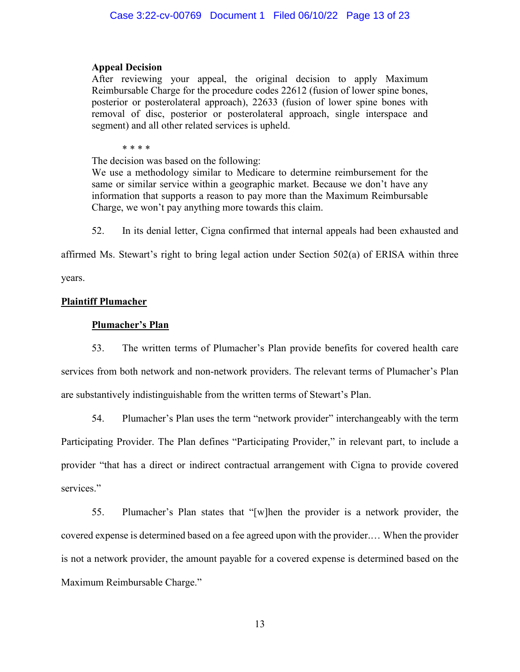### Appeal Decision **Appeal Decision**

After reviewing your appeal, the original decision to apply Maximum Reimbursable Charge for the procedure codes 22612 (fusion of lower spine bones, After reviewing your appeal, the original decision to apply Maximum<br>Reimbursable Charge for the procedure codes 22612 (fusion of lower spine bones,<br>posterior or posterolateral approach), 22633 (fusion of lower spine bones removal of disc, posterior or posterolateral approach, single interspace and segment) and all other related services is upheld.<br>\* \* \* \* segment) and all other related services is upheld.

\* \* \* \*

The decision was based on the following: The decision was based on the following:

We use a methodology similar to Medicare to determine reimbursement for the same or similar service within a geographic market. Because we don't have any information that supports a reason to pay more than the Maximum Reimbursable Charge, we won't pay anything more towards this claim. We use a methodology similar to Medicare to determine reimbursement for the same or similar service within a geographic market. Because we don't have any information that supports a reason to pay more than the Maximum Reim

52. In its denial letter, Cigna confirmed that internal appeals had been exhausted and

affirmed Ms. Stewart's right to bring legal action under Section 502(a) of ERISA within three

years.

#### Plaintiff Plumacher **Plaintiff Plumacher**

#### Plumacher's Plan **Plumacher's Plan**

53. The written terms of Plumacher's Plan provide benefits for covered health care services from both network and non-network providers. The relevant terms of Plumacher's Plan are substantively indistinguishable from the written terms of Stewart's Plan. 53. The written terms of Plumacher's Plan provide benefits for covered health care<br>services from both network and non-network providers. The relevant terms of Plumacher's Plan<br>are substantively indistinguishable from the w

54. Plumacher's Plan uses the term "network provider" interchangeably with the term Participating Provider. The Plan defines "Participating Provider," in relevant part, to include a provider "that has a direct or indirect contractual arrangement with Cigna to provide covered services." 54. Plumacher's Plan uses the term "network provider" interchangeably with the term<br>Participating Provider. The Plan defines "Participating Provider," in relevant part, to include a<br>provider "that has a direct or indirect

55. Plumacher's Plan states that "[w]hen the provider is a network provider, the covered expense is determined based on a fee agreed upon with the provider.... When the provider is not a network provider, the amount payable for a covered expense is determined based on the Maximum Reimbursable Charge." Case 3:22-cv-00769 Document 1 Filed 06/10/22 Page 13.01/23<br>
Appeal Decision<br>
Appeal Decision<br>
Appeal Decision<br>
Appeal Decision<br>
Active reviewing your appeal, the original decision to apply Maximum<br>
Reminutants Cargo for t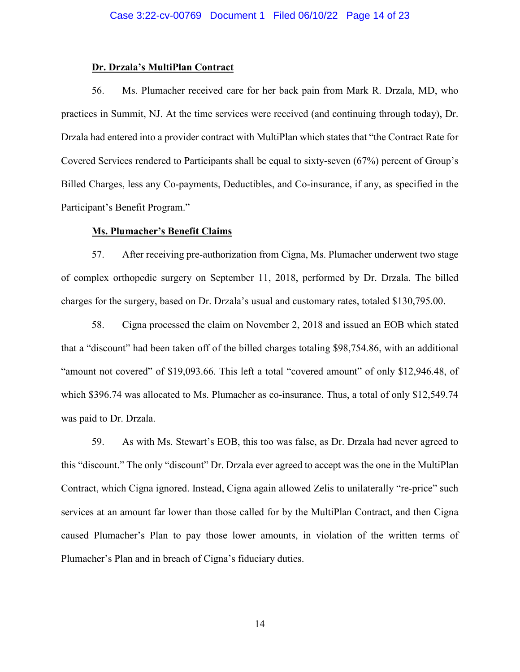### Dr. Drzala's MultiPlan Contract **Dr. Drzala's MultiPlan Contract**

56. Ms. Plumacher received care for her back pain from Mark R. Drzala, MD, who practices in Summit, NJ. At the time services were received (and continuing through today), Dr. Drzala had entered into a provider contract with MultiPlan which states that "the Contract Rate for Covered Services rendered to Participants shall be equal to sixty-seven (67%) percent of Group's Billed Charges, less any Co-payments, Deductibles, and Co-insurance, if any, as specified in the<br>Participant's Benefit Program." Participant's Benefit Program." 56. Ms. Plumacher received care for her back pain from Mark R. Drzala, MD, who<br>practices in Summit, NJ. At the time services were received (and continuing through today), Dr.<br>Drzala had entered into a provider contract wit Case 3:22-cv-00769 Document 1 Filed 06/10/22 Page 14 of 23<br> **Dr. Drzała's MultiPlan Contract**<br>
56. Ms. Plumacher received care for her heak pain from Mark R. Drzała<br>
Fredicies in Summit, NJ. At the time services were recei

#### Ms. Plumacher's Benefit Claims **Ms. Plumacher's Benefit Claims**

57. After receiving pre-authorization from Cigna, Ms. Plumacher underwent two stage of complex orthopedic surgery on September 11, 2018, performed by Dr. Drzala. The billed charges for the surgery, based on Dr. Drzala's usual and customary rates, totaled \$130,795.00. 57. After receiving pre-authorization from Cigna, Ms. Plumacher underwent two stage<br>of complex orthopedic surgery on September 11, 2018, performed by Dr. Drzala. The billed<br>charges for the surgery, based on Dr. Drzala's us

58. Cigna processed the claim on November 2, 2018 and issued an EOB which stated that a "discount" had been taken off of the billed charges totaling \$98,754.86, with an additional "amount not covered" of \$19,093.66. This left a total "covered amount" of only \$12,946.48, of which \$396.74 was allocated to Ms. Plumacher as co-insurance. Thus, a total of only \$12,549.74 was paid to Dr. Drzala. that a "discount" had been taken off of the billed charges totaling \$98,754.86, with an additional<br>"amount not covered" of \$19,093.66. This left a total "covered amount" of only \$12,946.48, of<br>which \$396.74 was allocated t

59. As with Ms. Stewart's EOB, this too was false, as Dr. Drzala had never agreed to this "discount." The only "discount" Dr. Drzala ever agreed to accept was the one in the MultiPlan Contract, which Cigna ignored. Instead, Cigna again allowed Zelis to unilaterally "re-price" such services at an amount far lower than those called for by the MultiPlan Contract, and then Cigna caused Plumacher's Plan to pay those lower amounts, in violation of the written terms of caused Plumacher's Plan to pay those lower amounts, in violation of the written terms of Plumacher's Plan and in breach of Cigna's fiduciary duties. was paid to Dr. Drzala.<br>59. As with Ms. Stewart's EOB, this too was false, as Dr. Drzala had never agreed to<br>this "discount." The only "discount" Dr. Drzala ever agreed to accept was the one in the MultiPlan<br>Contract, whic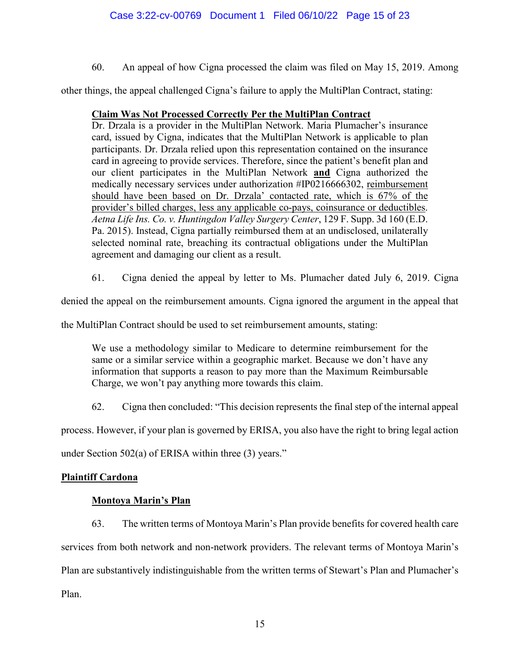60. An appeal of how Cigna processed the claim was filed on May 15, 2019. Among

60. An appeal of how Cigna processed the claim was filed on May 15, 2019. Among<br>other things, the appeal challenged Cigna's failure to apply the MultiPlan Contract, stating:

### Claim Was Not Processed Correctly Per the MultiPlan Contract **Claim Was Not Processed Correctly Per the MultiPlan Contract**

Dr. Drzala is a provider in the MultiPlan Network. Maria Plumacher's insurance card, issued by Cigna, indicates that the MultiPlan Network is applicable to plan participants. Dr. Drzala relied upon this representation cont card, issued by Cigna, indicates that the MultiPlan Network is applicable to plan participants. Dr. Drzala relied upon this representation contained on the insurance card in agreeing to provide services. Therefore, since the patient's benefit plan and our client participates in the MultiPlan Network and Cigna authorized the medically necessary services under authorization #IP0216666302, reimbursement should have been based on Dr. Drzala' contacted rate, which is 67% of the provider's billed charges, less any applicable co-pays, coinsurance or deductibles. Aetna Life Ins. Co. v. Huntingdon Valley Surgery Center, 129 F. Supp. 3d 160 (E.D. *Aetna Life Ins. Co. v. Huntingdon Valley Surgery Center*, 129 F. Supp. 3d 160 (E.D. Pa. 2015). Instead, Cigna partially reimbursed them at an undisclosed, unilaterally selected nominal rate, breaching its contractual obligations under the MultiPlan agreement and damaging our client as a result. our client participates in the MultiPlan Network **and** Cigna authorized the medically necessary services under authorization #IP0216666302, <u>reimbursement</u> should have been based on Dr. Drzala' contacted rate, which is 67% Pa. 2015). Instead, Cigna partially reimbursed them at an undisclosed, unilaterally selected nominal rate, breaching its contractual obligations under the MultiPlan agreement and damaging our client as a result.<br>61. Cigna Case 3:22-cv-00769 Document 1 Filed 06/10/22 Page 15 of 23<br>
00. An uppeal of how Cigna processed the cluim was filed on May 15, 20<br>
of the time Was Michael Cigna is failure to apply the MultiPlan Contract, st<br> **Cluim Was** 

61. Cigna denied the appeal by letter to Ms. Plumacher dated July 6, 2019. Cigna

denied the appeal on the reimbursement amounts. Cigna ignored the argument in the appeal that

the MultiPlan Contract should be used to set reimbursement amounts, stating:

We use a methodology similar to Medicare to determine reimbursement for the same or a similar service within a geographic market. Because we don't have any information that supports a reason to pay more than the Maximum Reimbursable Charge, we won't pay anything more towards this claim. denied the appeal on the reimbursement amounts. Cigna ignored the argument in the appeal that<br>the MultiPlan Contract should be used to set reimbursement amounts, stating:<br>We use a methodology similar to Medicare to determi

62. Cigna then concluded: "This decision represents the final step of the internal appeal

process. However, if your plan is governed by ERISA, you also have the right to bring legal action

under Section 502(a) of ERISA within three (3) years."

#### Plaintiff Cardona

# Montoya Marin's Plan **Plaintiff Cardona Montoya Marin's Plan**

63. The written terms of Montoya Marin's Plan provide benefits for covered health care services from both network and non-network providers. The relevant terms of Montoya Marin's Plan are substantively indistinguishable from the written terms of Stewart's Plan and Plumacher's Plan. 63. The written terms of Montoya Marin's Plan provide benefits for covered health care<br>services from both network and non-network providers. The relevant terms of Montoya Marin's<br>Plan are substantively indistinguishable fr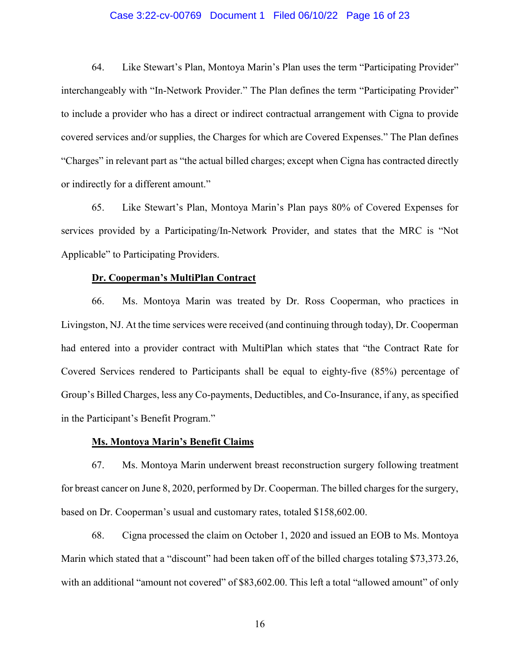64. Like Stewart's Plan, Montoya Marin's Plan uses the term "Participating Provider" 64. Like Stewart's Plan, Montoya Marin's Plan uses the term "Participating Provider" interchangeably with "In-Network Provider." The Plan defines the term "Participating Provider" interchangeably with "In-Network Provider." The Plan defines the term "Participating Provider" to include a provider who has a direct or indirect contractual arrangement with Cigna to provide covered services and/or supplies, the Charges for which are Covered Expenses." The Plan defines "Charges" in relevant part as "the actual billed charges; except when Cigna has contracted directly or indirectly for a different amount." to include a provider who has a direct or indirect contractual arrangement with Cigna to provide<br>covered services and/or supplies, the Charges for which are Covered Expenses." The Plan defines<br>"Charges" in relevant part as

65. Like Stewart's Plan, Montoya Marin's Plan pays 80% of Covered Expenses for services provided by a Participating/In-Network Provider, and states that the MRC is "Not Applicable" to Participating Providers. or indirectly for a different amount."<br>
65. Like Stewart's Plan, Montoya Marin's Plan pays 80% of Covered Expenses for<br>
services provided by a Participating/In-Network Provider, and states that the MRC is "Not<br>
Applicable"

### Dr. Cooperman's MultiPlan Contract **Dr. Cooperman's MultiPlan Contract**

66. Ms. Montoya Marin was treated by Dr. Ross Cooperman, who practices in Livingston, NJ. At the time services were received (and continuing through today), Dr. Cooperman had entered into a provider contract with MultiPlan which states that "the Contract Rate for Covered Services rendered to Participants shall be equal to eighty-five (85%) percentage of Group's Billed Charges, less any Co-payments, Deductibles, and Co-Insurance, if any, as specified in the Participant's Benefit Program." in the Participant's Benefit Program." 66. Ms. Montoya Marin was treated by Dr. Ross Cooperman, who practices in Livingston, NJ. At the time services were received (and continuing through today), Dr. Cooperman had entered into a provider contract with MultiPlan Case 3:22-cv-00769 Document 1 Filed 06:10/22 Page 16 of 23<br>
64. Like Stewart's Plan, Montoya Marin's Plan uses the term "Participating Provider"<br>
interchangeably with "the Network Provider." The Plan defines the term "Par

### Ms. Montoya Marin's Benefit Claims **Ms. Montoya Marin's Benefit Claims**

67. Ms. Montoya Marin underwent breast reconstruction surgery following treatment for breast cancer on June 8, 2020, performed by Dr. Cooperman. The billed charges for the surgery, based on Dr. Cooperman's usual and customary rates, totaled \$158,602.00. 67. Ms. Montoya Marin underwent breast reconstruction surgery following treatment<br>for breast cancer on June 8, 2020, performed by Dr. Cooperman. The billed charges for the surgery,<br>based on Dr. Cooperman's usual and custom

68. Cigna processed the claim on October 1, 2020 and issued an EOB to Ms. Montoya Marin which stated that a "discount" had been taken off of the billed charges totaling \$73,373.26, with an additional "amount not covered" of \$83,602.00. This left a total "allowed amount" of only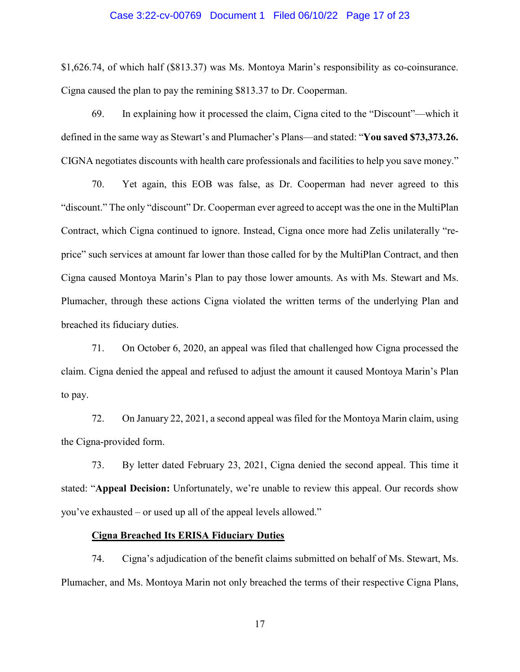\$1,626.74, of which half (\$813.37) was Ms. Montoya Marin's responsibility as co-coinsurance.<br>Cigna caused the plan to pay the remining \$813.37 to Dr. Cooperman.<br>69. In explaining how it processed the claim, Cigna cited to Cigna caused the plan to pay the remining \$813.37 to Dr. Cooperman.

69. In explaining how it processed the claim, Cigna cited to the "Discount"—which it defined in the same way as Stewart's and Plumacher's Plans—and stated: "You saved \$73,373.26. CIGNA negotiates discounts with health care professionals and facilities to help you save money." CIGNA negotiates discounts with health care professionals and facilities to help you save money."

70. Yet again, this EOB was false, as Dr. Cooperman had never agreed to this "discount." The only "discount" Dr. Cooperman ever agreed to accept was the one in the MultiPlan Contract, which Cigna continued to ignore. Instead, Cigna once more had Zelis unilaterally "reprice" such services at amount far lower than those called for by the MultiPlan Contract, and then<br>Cigna caused Montoya Marin's Plan to pay those lower amounts. As with Ms. Stewart and Ms. Cigna caused Montoya Marin's Plan to pay those lower amounts. As with Ms. Stewart and Ms. Plumacher, through these actions Cigna violated the written terms of the underlying Plan and breached its fiduciary duties. breached its fiduciary duties. 70. Yet again, this EOB was false, as Dr. Cooperman had never agreed to this<br>
"discount." The only "discount" Dr. Cooperman ever agreed to accept was the one in the MultiPlan<br>
Contract, which Cigna continued to ignore. Ins Case 3:22-cv-00769 Document 1 Filed 06:10/22 Page 17 of 23<br>
\$1,626.74, of which half (\$313.37) was Ms. Montoya Marin's responsibility as co-coinsummec.<br>
Cogna caused the plan to pay the remaining SN13.37 to Dr. Conperman.

71. On October 6, 2020, an appeal was filed that challenged how Cigna processed the claim. Cigna denied the appeal and refused to adjust the amount it caused Montoya Marin's Plan to pay. 71. On October 6, 2020, an appeal was filed that challenged how Cigna processed the claim. Cigna denied the appeal and refused to adjust the amount it caused Montoya Marin's Plan to pay.

72. On January 22, 2021, a second appeal was filed for the Montoya Marin claim, using 72. On January 22, 2021, a second appeal was filed for the Montoya Marin claim, using the Cigna-provided form. the Cigna-provided form.

73. By letter dated February 23, 2021, Cigna denied the second appeal. This time it stated: "Appeal Decision: Unfortunately, we're unable to review this appeal. Our records show you've exhausted — or used up all of the appeal levels allowed." 73. By letter dated February 23, 2021, Cigna denied the second appeal. This time it stated: "Appeal Decision: Unfortunately, we're unable to review this appeal. Our records show you've exhausted – or used up all of the app

### Cigna Breached Its ERISA Fiduciary Duties **Cigna Breached Its ERISA Fiduciary Duties**

74. Cigna's adjudication of the benefit claims submitted on behalf of Ms. Stewart, Ms. Plumacher, and Ms. Montoya Marin not only breached the terms of their respective Cigna Plans,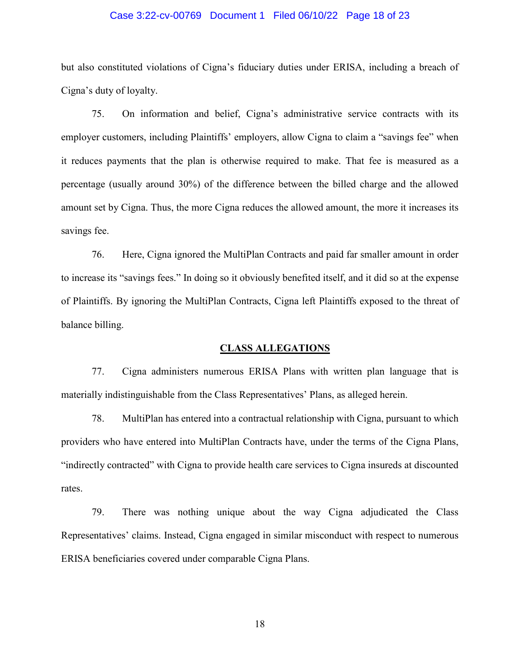but also constituted violations of Cigna's fiduciary duties under ERISA, including a breach of Cigna's duty of loyalty.

75. On information and belief, Cigna's administrative service contracts with its employer customers, including Plaintiffs' employers, allow Cigna to claim a "savings fee" when it reduces payments that the plan is otherwise required to make. That fee is measured as a percentage (usually around 30%) of the difference between the billed charge and the allowed amount set by Cigna. Thus, the more Cigna reduces the allowed amount, the more it increases its savings fee. but also constituted violations of Cigna's fiduciary duties under ERISA, including a breach of<br>Cigna's duty of loyalty.<br>75. On information and belief, Cigna's administrative service contracts with its<br>6-mployer customers, percentage (usually around 30%) of the difference between the billed charge and the allowed amount set by Cigna. Thus, the more Cigna reduces the allowed amount, the more it increases its savings fee. Case 3:22-cv-00769 Document 1 Filed 06/10/22 Page 18 of 23<br>
but also constituted violations of Cigna's fiduciary duties under ERISA, including a broach of<br>
Cigna's daty of loyalty.<br>
75. On information and helicf, Cigna's a

76. Here, Cigna ignored the MultiPlan Contracts and paid far smaller amount in order 76. Here, Cigna ignored the MultiPlan Contracts and paid far smaller amount in order<br>to increase its "savings fees." In doing so it obviously benefited itself, and it did so at the expense of Plaintiffs. By ignoring the MultiPlan Contracts, Cigna left Plaintiffs exposed to the threat of balance billing. balance billing.

#### CLASS ALLEGATIONS **CLASS ALLEGATIONS**

77. Cigna administers numerous ERISA Plans with written plan language that is materially indistinguishable from the Class Representatives' Plans, as alleged herein. materially indistinguishable from the Class Representatives' Plans, as alleged herein.

78. MultiPlan has entered into a contractual relationship with Cigna, pursuant to which providers who have entered into MultiPlan Contracts have, under the terms of the Cigna Plans, "indirectly contracted" with Cigna to provide health care services to Cigna insureds at discounted rates. 78. MultiPlan has entered into a contractual relationship with Cigna, pursuant to which<br>providers who have entered into MultiPlan Contracts have, under the terms of the Cigna Plans,<br>"indirectly contracted" with Cigna to pr

79. There was nothing unique about the way Cigna adjudicated the Class 79. There was nothing unique about the way Cigna adjudicated the Class Representatives' claims. Instead, Cigna engaged in similar misconduct with respect to numerous ERISA beneficiaries covered under comparable Cigna Plans.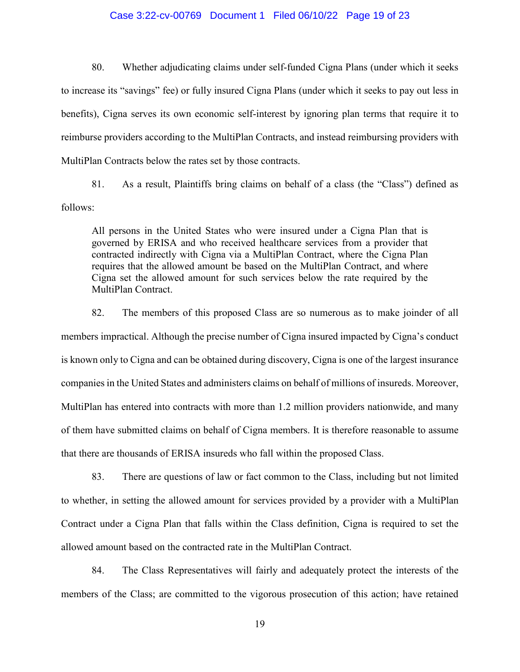80. Whether adjudicating claims under self-funded Cigna Plans (under which it seeks to increase its "savings" fee) or fully insured Cigna Plans (under which it seeks to pay out less in benefits), Cigna serves its own economic self-interest by ignoring plan terms that require it to reimburse providers according to the MultiPlan Contracts, and instead reimbursing providers with MultiPlan Contracts below the rates set by those contracts. 80. Whether adjudicating claims under self-funded Cigna Plans (under which it seeks<br>to increase its "savings" fee) or fully insured Cigna Plans (under which it seeks to pay out less in<br>benefits), Cigna serves its own econo

81. As a result, Plaintiffs bring claims on behalf of a class (the "Class") defined as follows:

All persons in the United States who were insured under a Cigna Plan that is governed by ERISA and who received healthcare services from a provider that contracted indirectly with Cigna via a MultiPlan Contract, where the Cigna Plan requires that the allowed amount be based on the MultiPlan Contract, and where Cigna set the allowed amount for such services below the rate required by the MultiPlan Contract. 81. As a result, Plaintiffs bring claims on behalf of a class (the "Class") defined as<br>follows:<br>All persons in the United States who were insured under a Cigna Plan that is<br>governed by ERISA and who received healthcare ser

82. The members of this proposed Class are so numerous as to make joinder of all MultiPlan Contract.<br>82. The members of this proposed Class are so numerous as to make joinder of all<br>members impractical. Although the precise number of Cigna insured impacted by Cigna's conduct is known only to Cigna and can be obtained during discovery, Cigna is one of the largest insurance companies in the United States and administers claims on behalf of millions of insureds. Moreover, MultiPlan has entered into contracts with more than 1.2 million providers nationwide, and many of them have submitted claims on behalf of Cigna members. It is therefore reasonable to assume that there are thousands of ERISA insureds who fall within the proposed Class. is known only to Cigna and can be obtained during discovery, Cigna is one of the largest insurance<br>companies in the United States and administers claims on behalf of millions of insureds. Moreover,<br>MultiPlan has entered in Case 3:22-cv-00769 Document 1 Filed 06/10/22 Page 19 of 23<br>
80. Whether adjudicating claims under self-funded Cigna Plans (under which it seeks<br>
to increase its "savings" fre) or fully insured Cigna Plans (under which it

83. There are questions of law or fact common to the Class, including but not limited to whether, in setting the allowed amount for services provided by a provider with a MultiPlan Contract under a Cigna Plan that falls within the Class definition, Cigna is required to set the allowed amount based on the contracted rate in the MultiPlan Contract. 83. There are questions of law or fact common to the Class, including but not limited<br>to whether, in setting the allowed amount for services provided by a provider with a MultiPlan<br>Contract under a Cigna Plan that falls wi

84. The Class Representatives will fairly and adequately protect the interests of the members of the Class; are committed to the vigorous prosecution of this action; have retained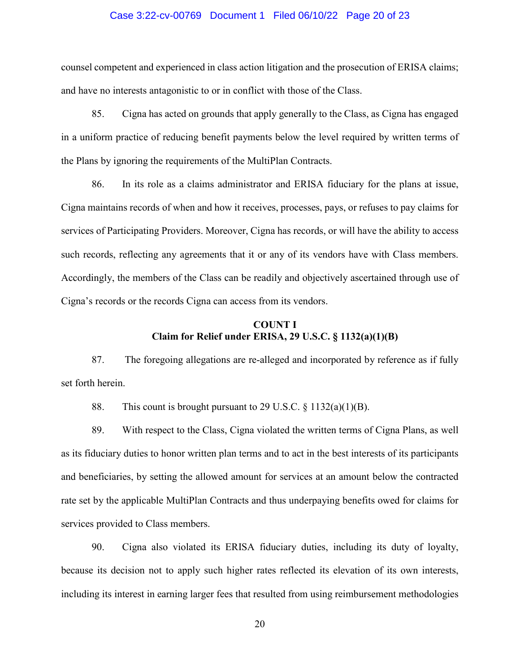counsel competent and experienced in class action litigation and the prosecution of ERISA claims;<br>and have no interests antagonistic to or in conflict with those of the Class. and have no interests antagonistic to or in conflict with those of the Class.

85. Cigna has acted on grounds that apply generally to the Class, as Cigna has engaged 85. Cigna has acted on grounds that apply generally to the Class, as Cigna has engaged<br>in a uniform practice of reducing benefit payments below the level required by written terms of the Plans by ignoring the requirements of the MultiPlan Contracts. the Plans by ignoring the requirements of the MultiPlan Contracts.

86. In its role as a claims administrator and ERISA fiduciary for the plans at issue, Cigna maintains records of when and how it receives, processes, pays, or refuses to pay claims for services of Participating Providers. Moreover, Cigna has records, or will have the ability to access such records, reflecting any agreements that it or any of its vendors have with Class members. Accordingly, the members of the Class can be readily and objectively ascertained through use of Cigna's records or the records Cigna can access from its vendors. Cigna's records or the records Cigna can access from its vendors. 86. In its role as a claims administrator and ERISA fiduciary for the plans at issue,<br>Cigna maintains records of when and how it receives, processes, pays, or refuses to pay claims for<br>services of Participating Providers. Case 3:22-cv-00769 Document 1 Filed 06/10/22 Page 20 of 23<br>
counsel competent and experienced in chas action higgiton and the prosecution of ERISA elains;<br>
and have m interest antagonistic to or in contrits with those of

### COUNT I **COUNT I**  Claim for Relief under ERISA, 29 U.S.C. § 1132(a)(1)(B) **Claim for Relief under ERISA, 29 U.S.C. § 1132(a)(1)(B)**

87. The foregoing allegations are re-alleged and incorporated by reference as if fully<br>set forth herein.<br>88. This count is brought pursuant to 29 U.S.C. § 1132(a)(1)(B). set forth herein.

88. This count is brought pursuant to 29 U.S.C.  $\S$  1132(a)(1)(B).

89. With respect to the Class, Cigna violated the written terms of Cigna Plans, as well 89. With respect to the Class, Cigna violated the written terms of Cigna Plans, as well<br>as its fiduciary duties to honor written plan terms and to act in the best interests of its participants and beneficiaries, by setting the allowed amount for services at an amount below the contracted rate set by the applicable MultiPlan Contracts and thus underpaying benefits owed for claims for services provided to Class members. and beneficiaries, by setting the allowed amount for services at an amount below the contracted<br>rate set by the applicable MultiPlan Contracts and thus underpaying benefits owed for claims for<br>services provided to Class me

90. Cigna also violated its ERISA fiduciary duties, including its duty of loyalty, 90. Cigna also violated its ERISA fiduciary duties, including its duty of loyalty,<br>because its decision not to apply such higher rates reflected its elevation of its own interests, including its interest in earning larger fees that resulted from using reimbursement methodologies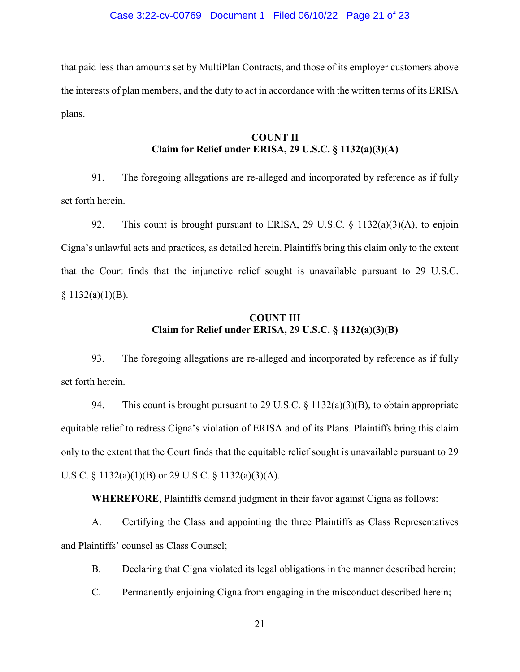that paid less than amounts set by MultiPlan Contracts, and those of its employer customers above the interests of plan members, and the duty to act in accordance with the written terms of its ERISA plans. that paid less than amounts set by MultiPlan Contracts, and those of its employer customers above the interests of plan members, and the duty to act in accordance with the written terms of its ERISA plans.

#### COUNT II COUNT II<br>Claim for Relief under ERISA, 29 U.S.C. § 1132(a)(3)(A)

91. The foregoing allegations are re-alleged and incorporated by reference as if fully set forth herein. 91. The foregoing allegations are re-alleged and incorporated by reference as if fully<br>set forth herein.<br>92. This count is brought pursuant to ERISA, 29 U.S.C. § 1132(a)(3)(A), to enjoin

Cigna's unlawful acts and practices, as detailed herein. Plaintiffs bring this claim only to the extent<br>that the Court finds that the injunctive relief sought is unavailable pursuant to 29 U.S.C.<br>§ 1132(a)(1)(B). that the Court finds that the injunctive relief sought is unavailable pursuant to 29 U.S.C.  $$1132(a)(1)(B).$ 

#### COUNT III COUNT III<br>Claim for Relief under ERISA, 29 U.S.C. § 1132(a)(3)(B)

93. The foregoing allegations are re-alleged and incorporated by reference as if fully set forth herein. 93. The foregoing allegations are re-alleged and incorporated by reference as if fully<br>set forth herein.<br>94. This count is brought pursuant to 29 U.S.C.  $\S$  1132(a)(3)(B), to obtain appropriate

equitable relief to redress Cigna's violation of ERISA and of its Plans. Plaintiffs bring this claim<br>only to the extent that the Court finds that the equitable relief sought is unavailable pursuant to 29<br>U.S.C. § 1132(a)( only to the extent that the Court finds that the equitable relief sought is unavailable pursuant to 29 U.S.C. § 1132(a)(1)(B) or 29 U.S.C. § 1132(a)(3)(A). Case 3:22-cv-00769 Document 1 Filed 06/10/22 Page 21 of 23<br>
Uses than amounts set by MultiPlan Contracts, and those of its employer customers above<br>
tests of plan members, and the duty to act in accordance with the writte

WHEREFORE, Plaintiffs demand judgment in their favor against Cigna as follows:<br>A. Certifying the Class and appointing the three Plaintiffs as Class Representatives

A. Certifying the Class and appointing the three Plaintiffs as Class Representatives and Plaintiffs' counsel as Class Counsel; and Plaintiffs' counsel as Class Counsel;<br>B. Declaring that Cigna violated its legal obligations in the manner described herein;

C. Permanently enjoining Cigna from engaging in the misconduct described herein;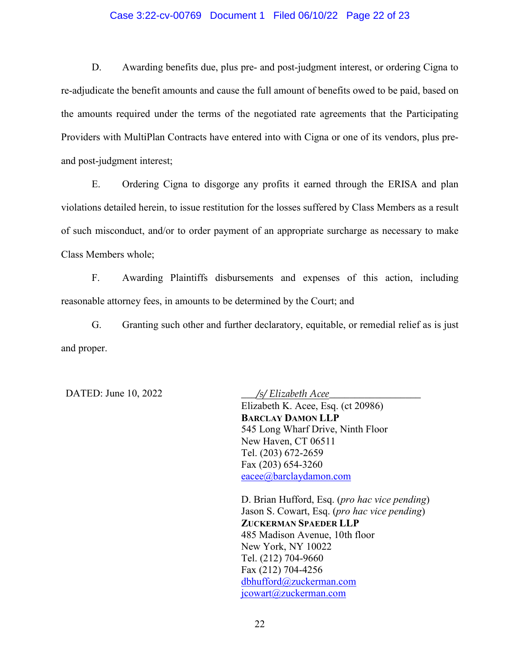#### Case 3:22-cv-00769 Document 1 Filed 06/10/22 Page 22 of 23

D. Awarding benefits due, plus pre- and post judgment interest, or ordering Cigna to re-adjudicate the benefit amounts and cause the full amount of benefits owed to be paid, based on the amounts required under the terms of the negotiated rate agreements that the Participating Providers with MultiPlan Contracts have entered into with Cigna or one of its vendors, plus preand post judgment interest; and post-judgment interest; D. Awarding benefits due, plus pre- and post-judgment interest, or ordering Cigna to<br>re-adjudicate the benefit amounts and cause the full amount of benefits owed to be paid, based on<br>the amounts required under the terms of

E. Ordering Cigna to disgorge any profits it earned through the ERISA and plan violations detailed herein, to issue restitution for the losses suffered by Class Members as a result of such misconduct, and/or to order payment of an appropriate surcharge as necessary to make Class Members whole; E. Ordering Cigna to disgorge any profits it earned through the ERISA and plan<br>violations detailed herein, to issue restitution for the losses suffered by Class Members as a result<br>of such misconduct, and/or to order payme

F. Awarding Plaintiffs disbursements and expenses of this action, including reasonable attorney fees, in amounts to be determined by the Court; and

G. Granting such other and further declaratory, equitable, or remedial relief as is just and proper. reasonable attorney fees, in amounts to be determined by the Court; and G. Granting such other and further declaratory, equitable, or remedial relief as is just and proper.

DATED: June 10, 2022 <br>
<u>/s/ Elizabeth Acee</u>

Elizabeth K. Acee, Esq. (ct 20986) Elizabeth K. Acee, Esq. (ct 20986) BARCLAY DAMON LLP **BARCLAY DAMON LLP** 545 Long Wharf Drive, Ninth Floor 545 Long Wharf Drive, Ninth Floor New Haven, CT 06511 Tel. (203) 672-2659 Fax (203) 654-3260 New Haven, CT 06511 Tel. (203) 672-2659 Fax (203) 654-3260 eacee@barclaydamon.com

D. Brian Hufford, Esq. (pro hac vice pending) Jason S. Cowart, Esq. (pro hac vice pending) D. Brian Hufford, Esq. (*pro hac vice pending*) Jason S. Cowart, Esq. (*pro hac vice pending*) ZUCKERMAN SPAEDER LLP **ZUCKERMAN SPAEDER LLP** 485 Madison Avenue, 10th floor 485 Madison Avenue, 10th floor New York, NY 10022 New York, NY 10022 Tel. (212) 704-9660 Fax (212) 704-4256 Tel. (212) 704-9660<br>Fax (212) 704-4256<br><u>dbhufford@zuckerman.com</u> jcowart@zuckerman.com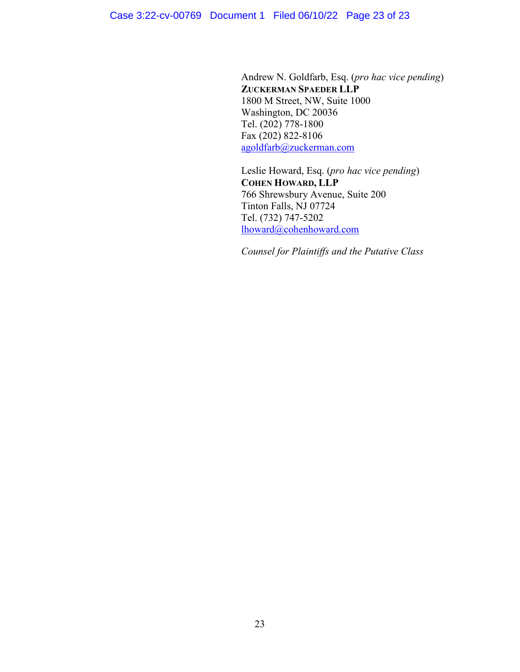Andrew N. Goldfarb, Esq. (pro hac vice pending) Andrew N. Goldfarb, Esq. (*pro hac vice pending*) ZUCKERMAN SPAEDER LLP **ZUCKERMAN SPAEDER LLP** 1800 M Street, NW, Suite 1000 1800 M Street, NW, Suite 1000 Washington, DC 20036 Washington, DC 20036 Tel. (202) 778-1800 Fax (202) 822-8106 Tel. (202) 778-1800<br>Fax (202) 822-8106<br><u>agoldfarb@zuckerman.com</u> Case 3:22-cv-00769 Document 1 Filed 06/10/22 Page 23 of 23<br>
Andrew N. Goldfarb, Esq. (*pro hac vice pena*<br> **ZUCKERMAN SPAEDER LLP**<br>
1800 M Street, NW, Suite 1000<br>
Washington, DC 20036<br>
Tel. (202) 778-1800<br>
Fax (202) 822-81

Leslie Howard, Esq. (pro hac vice pending) Leslie Howard, Esq. (*pro hac vice pending*) COHEN HOWARD, LLP **COHEN HOWARD, LLP**  766 Shrewsbury Avenue, Suite 200 766 Shrewsbury Avenue, Suite 200 Tinton Falls, NJ 07724 Tel. (732) 747-5202 Tinton Falls, NJ 07724<br>Tel. (732) 747-5202<br><u>lhoward@cohenhoward.com</u>

Counsel for Plaintiffs and the Putative Class